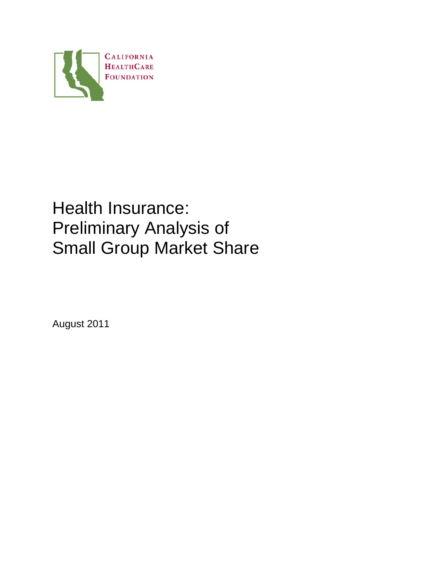

# Health Insurance: Preliminary Analysis of Small Group Market Share

August 2011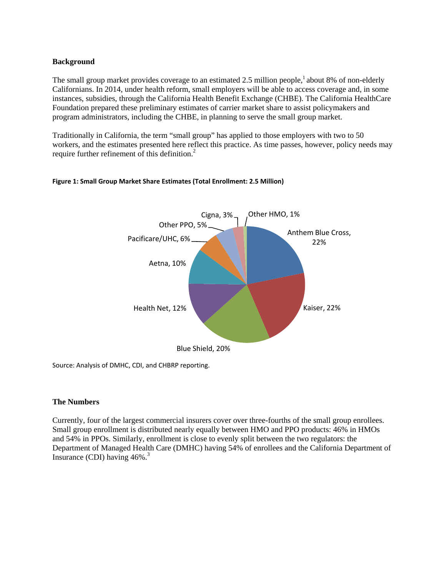## **Background**

The small group market provides coverage to an estimated 2.5 million people,<sup>1</sup> about 8% of non-elderly Californians. In 2014, under health reform, small employers will be able to access coverage and, in some instances, subsidies, through the California Health Benefit Exchange (CHBE). The California HealthCare Foundation prepared these preliminary estimates of carrier market share to assist policymakers and program administrators, including the CHBE, in planning to serve the small group market.

Traditionally in California, the term "small group" has applied to those employers with two to 50 workers, and the estimates presented here reflect this practice. As time passes, however, policy needs may require further refinement of this definition.<sup>2</sup>



### **Figure 1: Small Group Market Share Estimates (Total Enrollment: 2.5 Million)**

Source: Analysis of DMHC, CDI, and CHBRP reporting.

### **The Numbers**

Currently, four of the largest commercial insurers cover over three-fourths of the small group enrollees. Small group enrollment is distributed nearly equally between HMO and PPO products: 46% in HMOs and 54% in PPOs. Similarly, enrollment is close to evenly split between the two regulators: the Department of Managed Health Care (DMHC) having 54% of enrollees and the California Department of Insurance (CDI) having  $46\%$ .<sup>3</sup>